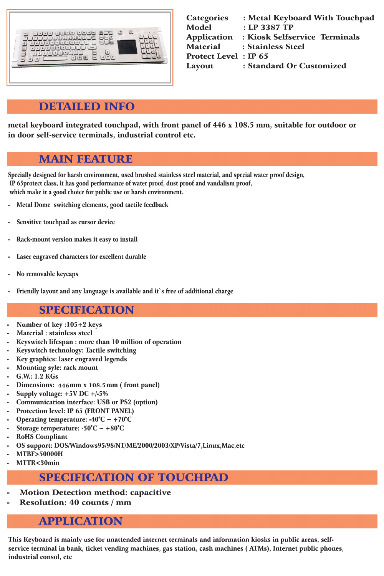## DETAILED INFO

| <b>Categories</b>            | : Metal Keyboard With Touchpad |
|------------------------------|--------------------------------|
| <b>Model</b>                 | : LP 3387 TP                   |
| <b>Application</b>           | : Kiosk Selfservice Terminals  |
| <b>Material</b>              | : Stainless Steel              |
| <b>Protect Level : IP 65</b> |                                |
| Layout                       | : Standard Or Customized       |
|                              |                                |

### MAIN FEATURE

## SPECIFICATION

# SPECIFICATION OF TOUCHPAD

- **Motion Detection method: capacitive**
- Resolution: 40 counts / mm

Specially designed for harsh environment, used brushed stainless steel material, and special water proof design, IP 65protect class, it has good performance of water proof, dust proof and vandalism proof, which make it a good choice for public use or harsh environment.

- Metal Dome switching elements, good tactile feedback
- Sensitive touchpad as cursor device
- Rack-mount version makes it easy to install
- Laser engraved characters for excellent durable
- No removable keycaps
- Friendly layout and any language is available and it's free of additional charge

- Number of key : 105+2 keys
- Material : stainless steel
- Keyswitch lifespan : more than 10 million of operation
- Keyswitch technology: Tactile switching
- Key graphics: laser engraved legends
- Mounting syle: rack mount
- G.W.: 1.2 KGs
- Dimensions: 446mm x 108.5mm (front panel)
- Supply voltage: +5V DC +/-5%
- Communication interface: USB or PS2 (option)
- Protection level: IP 65 (FRONT PANEL)
- Operating temperature:  $-40^{\circ}C \sim +70^{\circ}C$
- Storage temperature:  $-50^{\circ}$ C ~  $+80^{\circ}$ C
- RoHS Compliant
- OS support: DOS/Windows95/98/NT/ME/2000/2003/XP/Vista/7,Linux,Mac,etc
- MTBF>50000H
- MTTR<30min

### APPLICATION

This Keyboard is mainly use for unattended internet terminals and information kiosks in public areas, selfservice terminal in bank, ticket vending machines, gas station, cash machines ( ATMs), Internet public phones, industrial consol, etc

metal keyboard integrated touchpad, with front panel of 446 x 108.5 mm, suitable for outdoor or in door self-service terminals, industrial control etc.